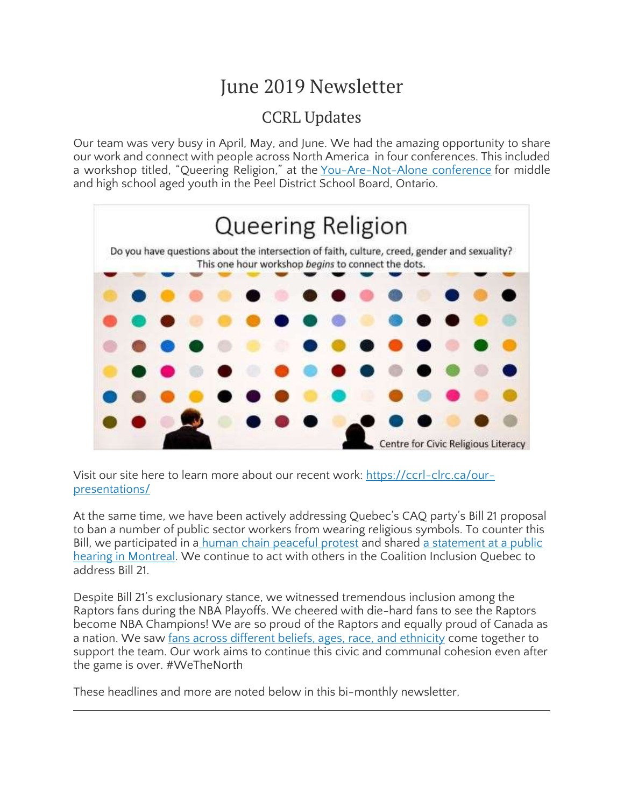# June 2019 Newsletter

### CCRL Updates

Our team was very busy in April, May, and June. We had the amazing opportunity to share our work and connect with people across North America in four conferences. This included a workshop titled, "Queering Religion," at the [You-Are-Not-Alone](https://twitter.com/yanampp?lang=en) conference for middle and high school aged youth in the Peel District School Board, Ontario.



Visit our site here to learn more about our recent work: [https://ccrl-clrc.ca/our](https://ccrl-clrc.ca/our-presentations/)[presentations/](https://ccrl-clrc.ca/our-presentations/)

At the same time, we have been actively addressing Quebec's CAQ party's Bill 21 proposal to ban a number of public sector workers from wearing religious symbols. To counter this Bill, we participated in a human chain [peaceful](https://montreal.citynews.ca/video/2019/05/05/human-chain-against-bill-21/) protest and shared a [statement](https://montreal.citynews.ca/video/2019/05/05/human-chain-against-bill-21/) at a public hearing in [Montreal.](https://montreal.citynews.ca/video/2019/05/05/human-chain-against-bill-21/) We continue to act with others in the Coalition Inclusion Quebec to address Bill 21.

Despite Bill 21's exclusionary stance, we witnessed tremendous inclusion among the Raptors fans during the NBA Playoffs. We cheered with die-hard fans to see the Raptors become NBA Champions! We are so proud of the Raptors and equally proud of Canada as a nation. We saw fans across different beliefs, ages, race, and [ethnicity](https://www.thestar.com/news/gta/2019/05/10/represented-by-the-raptors.html) come together to support the team. Our work aims to continue this civic and communal cohesion even after the game is over. #WeTheNorth

These headlines and more are noted below in this bi-monthly newsletter.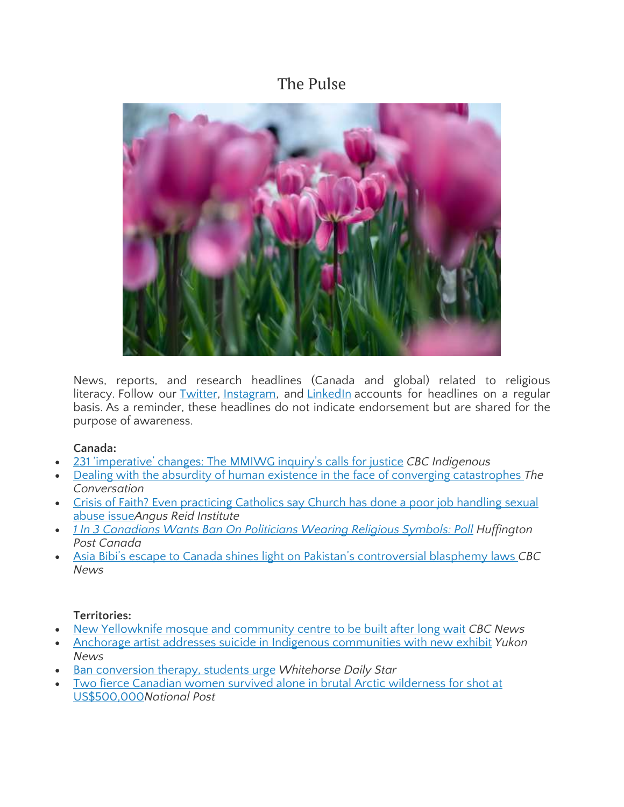### The Pulse



News, reports, and research headlines (Canada and global) related to religious literacy. Follow our [Twitter,](https://twitter.com/CcrlClrc) [Instagram,](https://www.instagram.com/ccrl.clrc/) and [LinkedIn](https://www.linkedin.com/company/ccrl-clrc/) accounts for headlines on a regular basis. As a reminder, these headlines do not indicate endorsement but are shared for the purpose of awareness.

#### **Canada:**

- 231 ['imperative'](https://www.cbc.ca/news/indigenous/mmiwg-inquiry-report-1.5158385) changes: The MMIWG inquiry's calls for justice *CBC Indigenous*
- Dealing with the absurdity of human existence in the face of converging [catastrophes](https://theconversation.com/dealing-with-the-absurdity-of-human-existence-in-the-face-of-converging-catastrophes-110261?utm_medium=email&utm_campaign=Latest%20from%20The%20Conversation%20for%20May%202%202019&utm_content=Latest%20from%20The%20Conversation%20for%20May%202%202019+CID_01d9b686f82393e3dd56a9e85122700b&utm_source=campaign_monitor_ca&utm_term=Homo%20absurdus%20%20a%20human%20that%20spends%20its%20whole%20life%20trying%20to%20convince%20itself%20that%20its%20existence%20is%20not%20absurd) *The Conversation*
- Crisis of Faith? Even [practicing](http://angusreid.org/catholic-church-canada/) Catholics say Church has done a poor job handling sexual [abuse](http://angusreid.org/catholic-church-canada/) issue*Angus Reid Institute*
- *1 In 3 [Canadians](https://www.huffingtonpost.ca/entry/poll-ban-religious-symbols_ca_5ce9706ce4b00e03656f0969) Wants Ban On Politicians Wearing Religious Symbols: Poll Huffington Post Canada*
- Asia Bibi's escape to Canada shines light on Pakistan's [controversial](https://www.cbc.ca/news/world/asia-bibi-lawyer-blasphemy-laws-pakistan-1.5132232) blasphemy laws *CBC News*

#### **Territories:**

- New [Yellowknife](https://www.cbc.ca/amp/1.5141440) mosque and community centre to be built after long wait *CBC News*
- Anchorage artist addresses suicide in Indigenous [communities](https://www.yukon-news.com/entertainment/anchorage-artist-addresses-suicide-in-indigenous-communities-with-new-exhibit/) with new exhibit *Yukon News*
- Ban [conversion](https://www.whitehorsestar.com/News/ban-conversion-therapy-students-urge) therapy, students urge *Whitehorse Daily Star*
- Two fierce Canadian women survived alone in brutal Arctic [wilderness](https://nationalpost.com/entertainment/television/two-fierce-canadian-women-survived-alone-in-brutal-arctic-wilderness-for-shot-at-us500000) for shot at [US\\$500,000](https://nationalpost.com/entertainment/television/two-fierce-canadian-women-survived-alone-in-brutal-arctic-wilderness-for-shot-at-us500000)*National Post*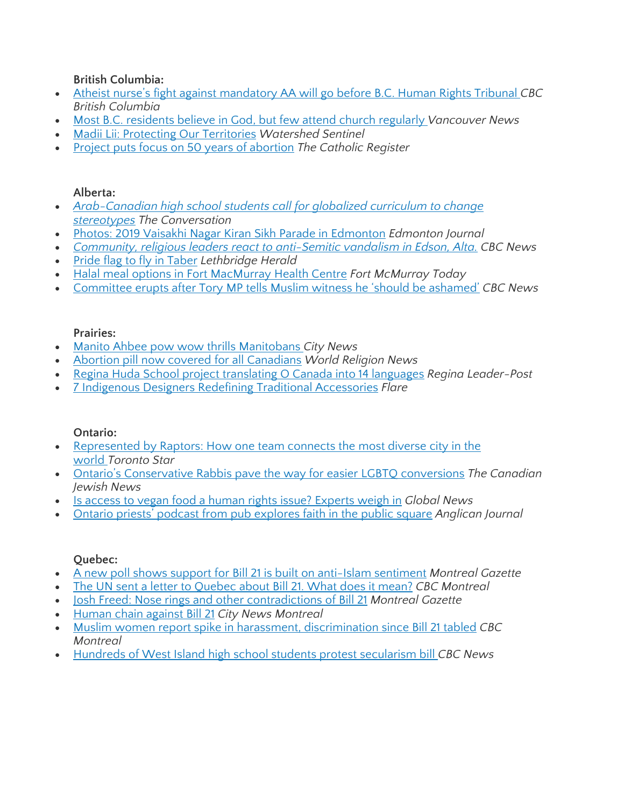**British Columbia:**

- Atheist nurse's fight against [mandatory](https://www.cbc.ca/news/canada/british-columbia/byron-wood-nurse-12-step-religious-discrimination-complaint-1.5172488) AA will go before B.C. Human Rights Tribunal *CBC British Columbia*
- Most B.C. [residents](https://www.vancouverisawesome.com/2019/04/19/bc-residents-believe-god-church/) believe in God, but few attend church regularly *Vancouver News*
- Madii Lii: Protecting Our [Territories](https://watershedsentinel.ca/articles/madii-lii-protecting-our-territories/) *Watershed Sentinel*
- Project puts focus on 50 years of [abortion](https://www.catholicregister.org/item/29720-project-puts-focus-on-50-years-of-abortion) *The Catholic Register*

#### **Alberta:**

- *[Arab-Canadian](https://theconversation.com/arab-canadian-high-school-students-call-for-globalized-curriculum-to-change-stereotypes-112643?utm_medium=email&utm_campaign=Latest%20from%20The%20Conversation%20for%20May%208%202019&utm_content=Latest%20from%20The%20Conversation%20for%20May%208%202019+CID_e1c38bf4332ddebd8cd007125c7f3ee0&utm_source=campaign_monitor_ca&utm_term=Arab-Canadian%20high%20school%20students%20call%20for%20globalized%20curriculum%20to%20change%20stereotypes) high school students call for globalized curriculum to change [stereotypes](https://theconversation.com/arab-canadian-high-school-students-call-for-globalized-curriculum-to-change-stereotypes-112643?utm_medium=email&utm_campaign=Latest%20from%20The%20Conversation%20for%20May%208%202019&utm_content=Latest%20from%20The%20Conversation%20for%20May%208%202019+CID_e1c38bf4332ddebd8cd007125c7f3ee0&utm_source=campaign_monitor_ca&utm_term=Arab-Canadian%20high%20school%20students%20call%20for%20globalized%20curriculum%20to%20change%20stereotypes) The Conversation*
- Photos: 2019 Vaisakhi Nagar Kiran Sikh Parade in [Edmonton](https://edmontonjournal.com/news/local-news/photos-vaisakha-nagar-kirtan-sikh-parade-in-edmonton) *Edmonton Journal*
- *Community, religious leaders react to [anti-Semitic](https://www.cbc.ca/news/canada/edmonton/leaders-react-antisemitic-vandalism-edson-1.5133332) vandalism in Edson, Alta. CBC News*
- Pride flag to fly in [Taber](https://lethbridgeherald.com/news/lethbridge-news/2019/05/21/pride-flag-to-flyin-taber/) *Lethbridge Herald*
- Halal meal options in Fort [MacMurray](https://www.fortmcmurraytoday.com/news/local-news/halal-joins-increasingly-large-list-of-meal-options-at-northern-lights-health-centre) Health Centre *Fort McMurray Today*
- [Committee](https://www.cbc.ca/news/politics/ashamed-cooper-suri-committee-chaos-1.5156624) erupts after Tory MP tells Muslim witness he 'should be ashamed' *CBC News*

#### **Prairies:**

- Manito Ahbee pow wow thrills [Manitobans](https://winnipeg.citynews.ca/video/2019/05/18/manito-ahbee-pow-wow-thrills-manitobans/) *City News*
- Abortion pill now covered for all [Canadians](https://www.worldreligionnews.com/religion-news/abortion-pill-now-covered-canadians) *World Religion News*
- Regina Huda School project [translating](https://leaderpost.com/news/local-news/regina-huda-school-project-translating-o-canada-into-14-languages) O Canada into 14 languages *Regina Leader-Post*
- 7 Indigenous Designers Redefining Traditional [Accessories](https://www.flare.com/fashion-beauty/indigenous-accessories-designers/) *Flare*

#### **Ontario:**

- [Represented](https://www.thestar.com/news/gta/2019/05/10/represented-by-the-raptors.html) by Raptors: How one team connects the most diverse city in the [world](https://www.thestar.com/news/gta/2019/05/10/represented-by-the-raptors.html) *Toronto Star*
- Ontario's [Conservative](https://www.cjnews.com/news/canada/ontarios-conservative-rabbis-pave-the-way-for-easier-lgbtq-conversions) Rabbis pave the way for easier LGBTQ conversions *The Canadian Jewish News*
- Is access to vegan food a human rights issue? [Experts](https://globalnews.ca/news/5301544/vegan-food-human-right-ontario-firefighter/) weigh in *Global News*
- Ontario priests' podcast from pub [explores](https://www.anglicanjournal.com/ontario-priests-podcast-from-pub-explores-faith-in-the-public-square/) faith in the public square *Anglican Journal*

#### **Quebec:**

- A new poll shows support for Bill 21 is built on [anti-Islam](https://montrealgazette.com/news/local-news/a-new-poll-shows-support-for-bill-21-is-built-on-anti-islam-sentiment?utm_term=Autofeed&utm_medium=Social&utm_source=Twitter#Echobox=1558124341) sentiment *Montreal Gazette*
- The UN sent a letter to [Quebec](https://www.cbc.ca/news/canada/montreal/un-letter-to-quebec-what-does-it-mean-1.5149214?__vfz=medium%3Dsharebar) about Bill 21. What does it mean? *CBC Montreal*
- Josh Freed: Nose rings and other [contradictions](https://montrealgazette.com/opinion/columnists/josh-freed-nose-rings-and-other-contradictions-of-bill-21) of Bill 21 *Montreal Gazette*
- [Human](https://montreal.citynews.ca/video/2019/05/05/human-chain-against-bill-21/) chain against Bill 21 *City News Montreal*
- Muslim women report spike in harassment, [discrimination](https://www.cbc.ca/news/canada/montreal/muslim-women-report-spike-in-harassment-discrimination-since-bill-21-tabled-1.5134539) since Bill 21 tabled *CBC Montreal*
- Hundreds of West Island high school students protest [secularism](https://www.cbc.ca/news/canada/montreal/west-island-students-protest-secularism-bill-1.5127034) bill *CBC News*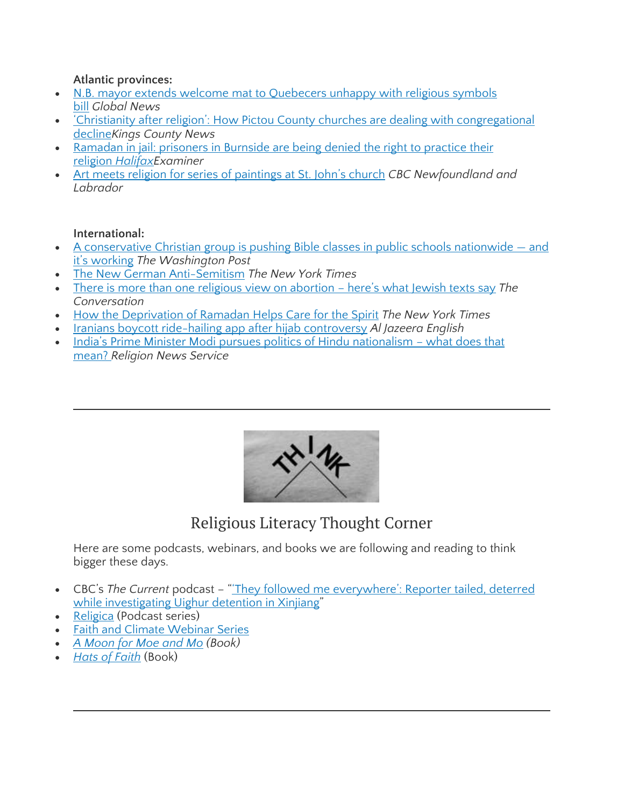#### **Atlantic provinces:**

- N.B. mayor extends welcome mat to [Quebecers](https://globalnews.ca/news/5122129/new-brunswick-welcomes-quebecers-religious-symbols/) unhappy with religious symbols [bill](https://globalnews.ca/news/5122129/new-brunswick-welcomes-quebecers-religious-symbols/) *Global News*
- 'Christianity after religion': How Pictou County churches are dealing with [congregational](https://www.kingscountynews.ca/living/christianity-after-religion-how-pictou-county-churches-are-dealing-with-congregational-decline-274266/) [decline](https://www.kingscountynews.ca/living/christianity-after-religion-how-pictou-county-churches-are-dealing-with-congregational-decline-274266/)*Kings County News*
- [Ramadan](https://www.halifaxexaminer.ca/featured/ramadan-in-jail-prisoners-in-burnside-are-being-denied-the-right-to-practice-their-religion/) in jail: prisoners in Burnside are being denied the right to practice their religion *[HalifaxE](https://www.halifaxexaminer.ca/featured/ramadan-in-jail-prisoners-in-burnside-are-being-denied-the-right-to-practice-their-religion/)xaminer*
- Art meets religion for series of [paintings](https://www.cbc.ca/news/canada/newfoundland-labrador/art-meets-religion-1.4975882) at St. John's church *CBC Newfoundland and Labrador*

#### **International:**

- A [conservative](https://www.washingtonpost.com/local/social-issues/a-conservative-christian-group-is-pushing-bible-classes-in-public-schools-nationwide--and-its-working/2019/05/08/f3bb490e-39e8-11e9-a06c-3ec8ed509d15_story.html?utm_term=.b400b131d9a7) Christian group is pushing Bible classes in public schools nationwide and it's [working](https://www.washingtonpost.com/local/social-issues/a-conservative-christian-group-is-pushing-bible-classes-in-public-schools-nationwide--and-its-working/2019/05/08/f3bb490e-39e8-11e9-a06c-3ec8ed509d15_story.html?utm_term=.b400b131d9a7) *The Washington Post*
- The New German [Anti-Semitism](https://www.nytimes.com/2019/05/21/magazine/anti-semitism-germany.html?em_pos=medium&ref=headline&nl_art=1&te=1&nl=magazine&emc=edit_ma_20190523) *The New York Times*
- There is more than one religious view on [abortion](https://theconversation.com/there-is-more-than-one-religious-view-on-abortion-heres-what-jewish-texts-say-116941?utm_medium=email&utm_campaign=Latest%20from%20The%20Conversation%20for%20May%2021%202019&utm_content=Latest%20from%20The%20Conversation%20for%20May%2021%202019+CID_c90c1d36490a1edd3114427f3099122e&utm_source=campaign_monitor_ca&utm_term=There%20is%20more%20than%20one%20religious%20view%20on%20abortion%20-%20heres%20what%20Jewish%20texts%20say) here's what Jewish texts say *The Conversation*
- How the [Deprivation](https://www.nytimes.com/2019/05/21/style/self-care/how-the-deprivation-of-ramadan-helps-care-for-the-spirit.html?em_pos=small&ref=headline&nl_art=2&te=1&nl=nyt-living&emc=edit_li_20190523) of Ramadan Helps Care for the Spirit *The New York Times*
- Iranians boycott ride-hailing app after hijab [controversy](https://www.aljazeera.com/news/middleeast/2019/06/iranians-boycott-ride-hailing-app-hijab-controversy-190612134108045.html) *Al Jazeera English*
- India's Prime Minister Modi pursues politics of Hindu [nationalism](https://religionnews.com/2019/05/28/indias-prime-minister-modi-pursues-politics-of-hindu-nationalism-what-does-that-mean/) what does that [mean?](https://religionnews.com/2019/05/28/indias-prime-minister-modi-pursues-politics-of-hindu-nationalism-what-does-that-mean/) *Religion News Service*



Religious Literacy Thought Corner

Here are some podcasts, webinars, and books we are following and reading to think bigger these days.

- CBC's *The Current* podcast "'They followed me [everywhere':](https://www.cbc.ca/radio/thecurrent/the-current-for-may-23-2019-1.5145446/they-followed-me-everywhere-reporter-tailed-deterred-while-investigating-uighur-detention-in-xinjiang-1.5146273) Reporter tailed, deterred while [investigating](https://www.cbc.ca/radio/thecurrent/the-current-for-may-23-2019-1.5145446/they-followed-me-everywhere-reporter-tailed-deterred-while-investigating-uighur-detention-in-xinjiang-1.5146273) Uighur detention in Xinjiang"
- [Religica](https://religica.org/seek/) (Podcast series)
- Faith and Climate [Webinar](https://parliamentofreligions.org/drag-and-drop-page/faith-and-climate-webinar-series?utm_source=Email+Updates&utm_campaign=63fe29a7b5-EMAIL_CAMPAIGN_2019_06_03_06_31&utm_medium=email&utm_term=0_5516d1b278-63fe29a7b5-87871437&mc_cid=63fe29a7b5&mc_eid=7bb6532166) Series
- *A [Moon](https://www.charlesbridge.com/products/a-moon-for-moe-and-mo) for Moe and Mo (Book)*
- *Hats of [Faith](https://hatsoffaith.com/)* (Book)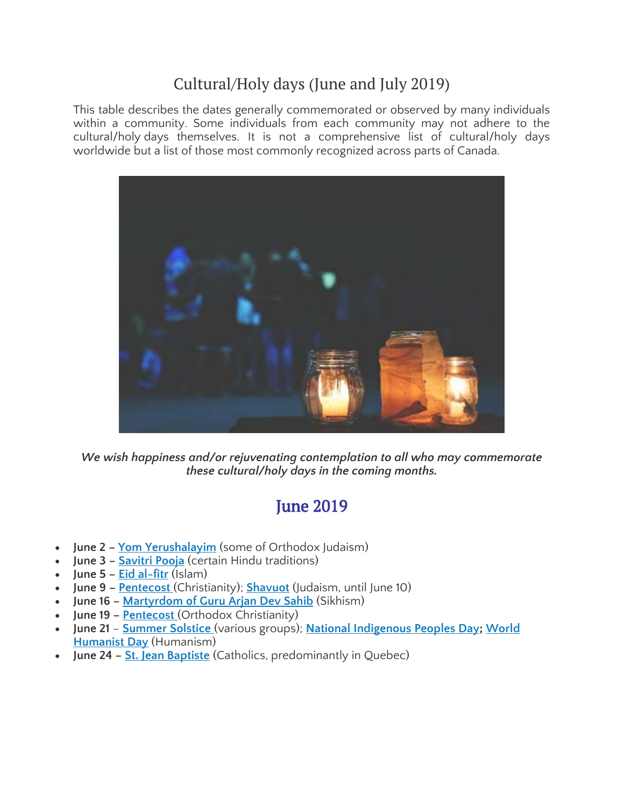### Cultural/Holy days (June and July 2019)

This table describes the dates generally commemorated or observed by many individuals within a community. Some individuals from each community may not adhere to the cultural/holy days themselves. It is not a comprehensive list of cultural/holy days worldwide but a list of those most commonly recognized across parts of Canada.



*We wish happiness and/or rejuvenating contemplation to all who may commemorate these cultural/holy days in the coming months.*

# **June 2019**

- **June 2 – Yom [Yerushalayim](https://www.jewishvirtuallibrary.org/yom-yerushalayim-jerusalem-day)** (some of Orthodox Judaism)
- **June 3 – [Savitri](https://timesofindia.indiatimes.com/astrology/rituals-puja/vat-savitri-vrat-2019-significance-puja-ritual-and-shub-mahurat/articleshow/69629390.cms) Pooja** (certain Hindu traditions)
- **June 5 – Eid [al-fitr](https://www.aljazeera.com/news/2019/06/eid-al-fitr-2019-190603070303923.html)** (Islam)
- **June 9 – [Pentecost](https://www.timeanddate.com/holidays/canada/pentecost)** (Christianity); **[Shavuot](https://www.timeanddate.com/holidays/canada/shavuot)** (Judaism, until June 10)
- **June 16 – [Martyrdom](http://aglobalworld.com/holidays-around-the-world/martyrdom-guru-arjan-dev-sikhs/) of Guru Arjan Dev Sahib** (Sikhism)
- **June 19 – [Pentecost](https://publicholidays.com.ua/pentecost/)** (Orthodox Christianity)
- **June 21 [Summer](https://www.rd.com/culture/fascinating-summer-solstice-traditions-around-globe/) Solstice** (various groups); **National [Indigenous](https://www.thecanadianencyclopedia.ca/en/article/national-aboriginal-day) Peoples Day; [World](https://humanists.international/what-is-humanism/world-humanist-day/) [Humanist](https://humanists.international/what-is-humanism/world-humanist-day/) Day** (Humanism)
- **June 24 – St. Jean [Baptiste](https://www.timeanddate.com/holidays/canada/st-jean-baptiste-day)** (Catholics, predominantly in Quebec)